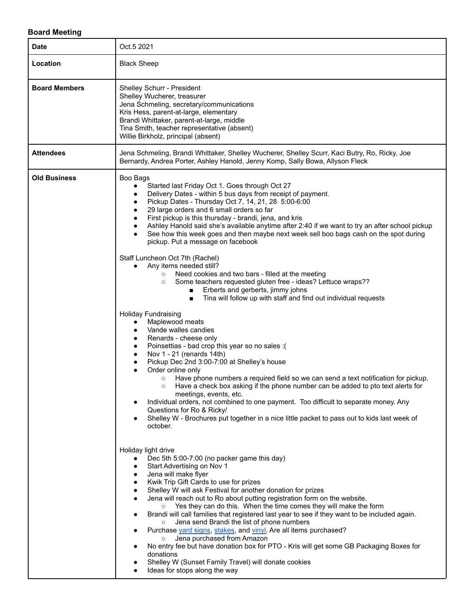## **Board Meeting**

| <b>Date</b>          | Oct.5 2021                                                                                                                                                                                                                                                                                                                                                                                                                                                                                                                                                                                                                                                                                                                                                                                                                                                                                                                                                                                                                                                                                                                                                                                                                                                                                                                                                                                                                                                                                                                                                                                                                                                                                                                                                                                                                                                                                                                                                                                                                                                                                                                                                                                                                                                                                                                                                                                                                                                                                                     |
|----------------------|----------------------------------------------------------------------------------------------------------------------------------------------------------------------------------------------------------------------------------------------------------------------------------------------------------------------------------------------------------------------------------------------------------------------------------------------------------------------------------------------------------------------------------------------------------------------------------------------------------------------------------------------------------------------------------------------------------------------------------------------------------------------------------------------------------------------------------------------------------------------------------------------------------------------------------------------------------------------------------------------------------------------------------------------------------------------------------------------------------------------------------------------------------------------------------------------------------------------------------------------------------------------------------------------------------------------------------------------------------------------------------------------------------------------------------------------------------------------------------------------------------------------------------------------------------------------------------------------------------------------------------------------------------------------------------------------------------------------------------------------------------------------------------------------------------------------------------------------------------------------------------------------------------------------------------------------------------------------------------------------------------------------------------------------------------------------------------------------------------------------------------------------------------------------------------------------------------------------------------------------------------------------------------------------------------------------------------------------------------------------------------------------------------------------------------------------------------------------------------------------------------------|
| Location             | <b>Black Sheep</b>                                                                                                                                                                                                                                                                                                                                                                                                                                                                                                                                                                                                                                                                                                                                                                                                                                                                                                                                                                                                                                                                                                                                                                                                                                                                                                                                                                                                                                                                                                                                                                                                                                                                                                                                                                                                                                                                                                                                                                                                                                                                                                                                                                                                                                                                                                                                                                                                                                                                                             |
| <b>Board Members</b> | Shelley Schurr - President<br>Shelley Wucherer, treasurer<br>Jena Schmeling, secretary/communications<br>Kris Hess, parent-at-large, elementary<br>Brandi Whittaker, parent-at-large, middle<br>Tina Smith, teacher representative (absent)<br>Willie Birkholz, principal (absent)                                                                                                                                                                                                                                                                                                                                                                                                                                                                                                                                                                                                                                                                                                                                                                                                                                                                                                                                                                                                                                                                                                                                                                                                                                                                                                                                                                                                                                                                                                                                                                                                                                                                                                                                                                                                                                                                                                                                                                                                                                                                                                                                                                                                                             |
| <b>Attendees</b>     | Jena Schmeling, Brandi Whittaker, Shelley Wucherer, Shelley Scurr, Kaci Butry, Ro, Ricky, Joe<br>Bernardy, Andrea Porter, Ashley Hanold, Jenny Komp, Sally Bowa, Allyson Fleck                                                                                                                                                                                                                                                                                                                                                                                                                                                                                                                                                                                                                                                                                                                                                                                                                                                                                                                                                                                                                                                                                                                                                                                                                                                                                                                                                                                                                                                                                                                                                                                                                                                                                                                                                                                                                                                                                                                                                                                                                                                                                                                                                                                                                                                                                                                                 |
| <b>Old Business</b>  | Boo Bags<br>Started last Friday Oct 1. Goes through Oct 27<br>$\bullet$<br>Delivery Dates - within 5 bus days from receipt of payment.<br>$\bullet$<br>Pickup Dates - Thursday Oct 7, 14, 21, 28 5:00-6:00<br>٠<br>29 large orders and 6 small orders so far<br>First pickup is this thursday - brandi, jena, and kris<br>$\bullet$<br>Ashley Hanold said she's available anytime after 2:40 if we want to try an after school pickup<br>$\bullet$<br>See how this week goes and then maybe next week sell boo bags cash on the spot during<br>pickup. Put a message on facebook<br>Staff Luncheon Oct 7th (Rachel)<br>Any items needed still?<br>Need cookies and two bars - filled at the meeting<br>Some teachers requested gluten free - ideas? Lettuce wraps??<br>$\circ$<br>Erberts and gerberts, jimmy johns<br>Tina will follow up with staff and find out individual requests<br>Holiday Fundraising<br>Maplewood meats<br>Vande walles candies<br>Renards - cheese only<br>٠<br>Poinsettias - bad crop this year so no sales :(<br>٠<br>Nov 1 - 21 (renards 14th)<br>٠<br>Pickup Dec 2nd 3:00-7:00 at Shelley's house<br>$\bullet$<br>Order online only<br>Have phone numbers a required field so we can send a text notification for pickup.<br>$\circ$<br>Have a check box asking if the phone number can be added to pto text alerts for<br>meetings, events, etc.<br>Individual orders, not combined to one payment. Too difficult to separate money. Any<br>Questions for Ro & Ricky/<br>Shelley W - Brochures put together in a nice little packet to pass out to kids last week of<br>october.<br>Holiday light drive<br>Dec 5th 5:00-7:00 (no packer game this day)<br>$\bullet$<br>Start Advertising on Nov 1<br>Jena will make flyer<br>Kwik Trip Gift Cards to use for prizes<br>Shelley W will ask Festival for another donation for prizes<br>٠<br>Jena will reach out to Ro about putting registration form on the website.<br>$\bullet$<br>○ Yes they can do this. When the time comes they will make the form<br>Brandi will call families that registered last year to see if they want to be included again.<br>Jena send Brandi the list of phone numbers<br>$\circ$<br>Purchase yard signs, stakes, and vinyl. Are all items purchased?<br>Jena purchased from Amazon<br>$\circ$<br>No entry fee but have donation box for PTO - Kris will get some GB Packaging Boxes for<br>donations<br>Shelley W (Sunset Family Travel) will donate cookies<br>Ideas for stops along the way |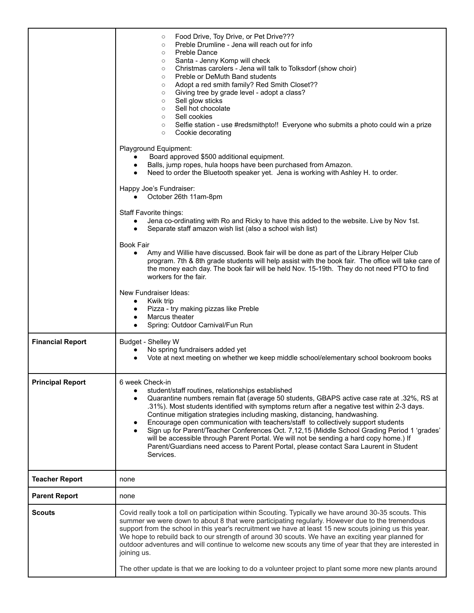|                         | Food Drive, Toy Drive, or Pet Drive???<br>$\circ$<br>Preble Drumline - Jena will reach out for info<br>$\circ$<br>Preble Dance<br>$\circ$<br>Santa - Jenny Komp will check<br>$\circ$<br>Christmas carolers - Jena will talk to Tolksdorf (show choir)<br>$\circ$<br>Preble or DeMuth Band students<br>$\circ$<br>Adopt a red smith family? Red Smith Closet??<br>$\circ$<br>Giving tree by grade level - adopt a class?<br>$\circ$<br>Sell glow sticks<br>$\circ$<br>Sell hot chocolate<br>$\circ$<br>Sell cookies<br>$\circ$<br>Selfie station - use #redsmithpto!! Everyone who submits a photo could win a prize<br>$\circ$<br>Cookie decorating<br>$\circ$<br>Playground Equipment:<br>Board approved \$500 additional equipment.<br>Balls, jump ropes, hula hoops have been purchased from Amazon.<br>$\bullet$<br>Need to order the Bluetooth speaker yet. Jena is working with Ashley H. to order.<br>Happy Joe's Fundraiser:<br>October 26th 11am-8pm<br>Staff Favorite things:<br>Jena co-ordinating with Ro and Ricky to have this added to the website. Live by Nov 1st.<br>Separate staff amazon wish list (also a school wish list)<br><b>Book Fair</b><br>Amy and Willie have discussed. Book fair will be done as part of the Library Helper Club<br>program. 7th & 8th grade students will help assist with the book fair. The office will take care of<br>the money each day. The book fair will be held Nov. 15-19th. They do not need PTO to find<br>workers for the fair.<br>New Fundraiser Ideas:<br>Kwik trip<br>$\bullet$<br>Pizza - try making pizzas like Preble<br>Marcus theater<br>$\bullet$<br>Spring: Outdoor Carnival/Fun Run |
|-------------------------|---------------------------------------------------------------------------------------------------------------------------------------------------------------------------------------------------------------------------------------------------------------------------------------------------------------------------------------------------------------------------------------------------------------------------------------------------------------------------------------------------------------------------------------------------------------------------------------------------------------------------------------------------------------------------------------------------------------------------------------------------------------------------------------------------------------------------------------------------------------------------------------------------------------------------------------------------------------------------------------------------------------------------------------------------------------------------------------------------------------------------------------------------------------------------------------------------------------------------------------------------------------------------------------------------------------------------------------------------------------------------------------------------------------------------------------------------------------------------------------------------------------------------------------------------------------------------------------------------------------------------------------------------------------|
| <b>Financial Report</b> | Budget - Shelley W<br>No spring fundraisers added yet<br>Vote at next meeting on whether we keep middle school/elementary school bookroom books                                                                                                                                                                                                                                                                                                                                                                                                                                                                                                                                                                                                                                                                                                                                                                                                                                                                                                                                                                                                                                                                                                                                                                                                                                                                                                                                                                                                                                                                                                               |
| <b>Principal Report</b> | 6 week Check-in<br>student/staff routines, relationships established<br>Quarantine numbers remain flat (average 50 students, GBAPS active case rate at .32%, RS at<br>.31%). Most students identified with symptoms return after a negative test within 2-3 days.<br>Continue mitigation strategies including masking, distancing, handwashing.<br>Encourage open communication with teachers/staff to collectively support students<br>٠<br>Sign up for Parent/Teacher Conferences Oct. 7,12,15 (Middle School Grading Period 1 'grades'<br>will be accessible through Parent Portal. We will not be sending a hard copy home.) If<br>Parent/Guardians need access to Parent Portal, please contact Sara Laurent in Student<br>Services.                                                                                                                                                                                                                                                                                                                                                                                                                                                                                                                                                                                                                                                                                                                                                                                                                                                                                                                     |
| <b>Teacher Report</b>   | none                                                                                                                                                                                                                                                                                                                                                                                                                                                                                                                                                                                                                                                                                                                                                                                                                                                                                                                                                                                                                                                                                                                                                                                                                                                                                                                                                                                                                                                                                                                                                                                                                                                          |
| <b>Parent Report</b>    | none                                                                                                                                                                                                                                                                                                                                                                                                                                                                                                                                                                                                                                                                                                                                                                                                                                                                                                                                                                                                                                                                                                                                                                                                                                                                                                                                                                                                                                                                                                                                                                                                                                                          |
| <b>Scouts</b>           | Covid really took a toll on participation within Scouting. Typically we have around 30-35 scouts. This<br>summer we were down to about 8 that were participating regularly. However due to the tremendous<br>support from the school in this year's recruitment we have at least 15 new scouts joining us this year.<br>We hope to rebuild back to our strength of around 30 scouts. We have an exciting year planned for<br>outdoor adventures and will continue to welcome new scouts any time of year that they are interested in<br>joining us.<br>The other update is that we are looking to do a volunteer project to plant some more new plants around                                                                                                                                                                                                                                                                                                                                                                                                                                                                                                                                                                                                                                                                                                                                                                                                                                                                                                                                                                                                 |
|                         |                                                                                                                                                                                                                                                                                                                                                                                                                                                                                                                                                                                                                                                                                                                                                                                                                                                                                                                                                                                                                                                                                                                                                                                                                                                                                                                                                                                                                                                                                                                                                                                                                                                               |